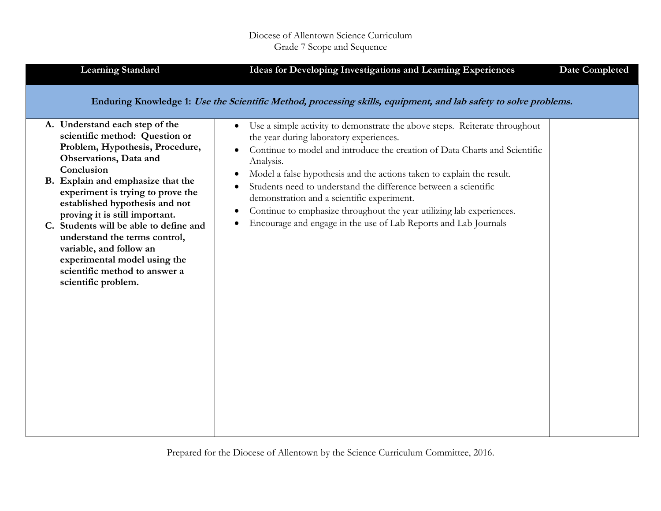| <b>Learning Standard</b>                                                                                                                                                                                                                                                                                                                                                                                                                                                                | Ideas for Developing Investigations and Learning Experiences                                                                                                                                                                                                                                                                                                                                                                                                                                                                                                                                              | <b>Date Completed</b> |
|-----------------------------------------------------------------------------------------------------------------------------------------------------------------------------------------------------------------------------------------------------------------------------------------------------------------------------------------------------------------------------------------------------------------------------------------------------------------------------------------|-----------------------------------------------------------------------------------------------------------------------------------------------------------------------------------------------------------------------------------------------------------------------------------------------------------------------------------------------------------------------------------------------------------------------------------------------------------------------------------------------------------------------------------------------------------------------------------------------------------|-----------------------|
|                                                                                                                                                                                                                                                                                                                                                                                                                                                                                         | Enduring Knowledge 1: Use the Scientific Method, processing skills, equipment, and lab safety to solve problems.                                                                                                                                                                                                                                                                                                                                                                                                                                                                                          |                       |
| A. Understand each step of the<br>scientific method: Question or<br>Problem, Hypothesis, Procedure,<br>Observations, Data and<br>Conclusion<br>B. Explain and emphasize that the<br>experiment is trying to prove the<br>established hypothesis and not<br>proving it is still important.<br>C. Students will be able to define and<br>understand the terms control,<br>variable, and follow an<br>experimental model using the<br>scientific method to answer a<br>scientific problem. | Use a simple activity to demonstrate the above steps. Reiterate throughout<br>$\bullet$<br>the year during laboratory experiences.<br>Continue to model and introduce the creation of Data Charts and Scientific<br>Analysis.<br>Model a false hypothesis and the actions taken to explain the result.<br>$\bullet$<br>Students need to understand the difference between a scientific<br>demonstration and a scientific experiment.<br>Continue to emphasize throughout the year utilizing lab experiences.<br>$\bullet$<br>Encourage and engage in the use of Lab Reports and Lab Journals<br>$\bullet$ |                       |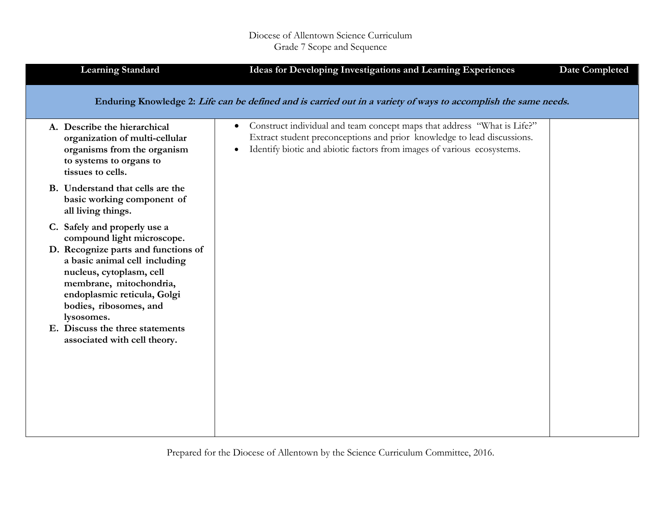## Diocese of Allentown Science Curriculum Grade 7 Scope and Sequence

| <b>Learning Standard</b>                                                                                                                                                                                                                                                                                                            | Ideas for Developing Investigations and Learning Experiences                                                                                                                                                                              | <b>Date Completed</b> |
|-------------------------------------------------------------------------------------------------------------------------------------------------------------------------------------------------------------------------------------------------------------------------------------------------------------------------------------|-------------------------------------------------------------------------------------------------------------------------------------------------------------------------------------------------------------------------------------------|-----------------------|
|                                                                                                                                                                                                                                                                                                                                     | Enduring Knowledge 2: Life can be defined and is carried out in a variety of ways to accomplish the same needs.                                                                                                                           |                       |
| A. Describe the hierarchical<br>organization of multi-cellular<br>organisms from the organism<br>to systems to organs to<br>tissues to cells.                                                                                                                                                                                       | Construct individual and team concept maps that address "What is Life?"<br>$\bullet$<br>Extract student preconceptions and prior knowledge to lead discussions.<br>Identify biotic and abiotic factors from images of various ecosystems. |                       |
| B. Understand that cells are the<br>basic working component of<br>all living things.                                                                                                                                                                                                                                                |                                                                                                                                                                                                                                           |                       |
| C. Safely and properly use a<br>compound light microscope.<br>D. Recognize parts and functions of<br>a basic animal cell including<br>nucleus, cytoplasm, cell<br>membrane, mitochondria,<br>endoplasmic reticula, Golgi<br>bodies, ribosomes, and<br>lysosomes.<br>E. Discuss the three statements<br>associated with cell theory. |                                                                                                                                                                                                                                           |                       |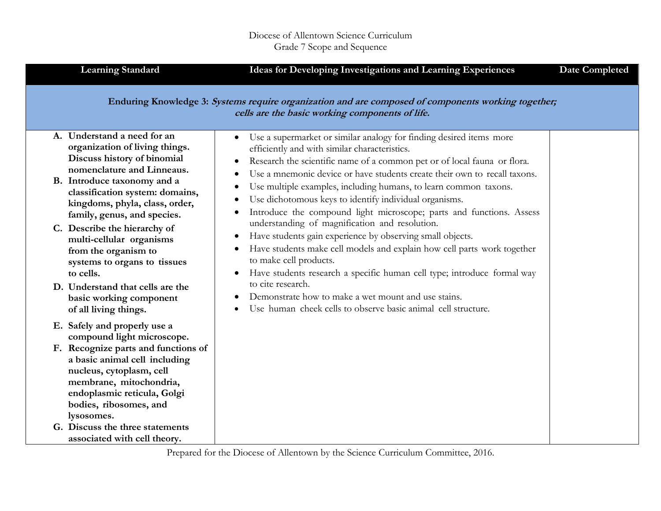| <b>Learning Standard</b>                                                                                                                                                                                                         | Ideas for Developing Investigations and Learning Experiences                                                                                                                                                                                                                                                                                                                                                                                                                           | <b>Date Completed</b> |
|----------------------------------------------------------------------------------------------------------------------------------------------------------------------------------------------------------------------------------|----------------------------------------------------------------------------------------------------------------------------------------------------------------------------------------------------------------------------------------------------------------------------------------------------------------------------------------------------------------------------------------------------------------------------------------------------------------------------------------|-----------------------|
|                                                                                                                                                                                                                                  | Enduring Knowledge 3: Systems require organization and are composed of components working together;<br>cells are the basic working components of life.                                                                                                                                                                                                                                                                                                                                 |                       |
| A. Understand a need for an<br>organization of living things.<br>Discuss history of binomial<br>nomenclature and Linneaus.<br>B. Introduce taxonomy and a<br>classification system: domains,<br>kingdoms, phyla, class, order,   | Use a supermarket or similar analogy for finding desired items more<br>efficiently and with similar characteristics.<br>Research the scientific name of a common pet or of local fauna or flora.<br>Use a mnemonic device or have students create their own to recall taxons.<br>Use multiple examples, including humans, to learn common taxons.<br>Use dichotomous keys to identify individual organisms.                                                                            |                       |
| family, genus, and species.<br>C. Describe the hierarchy of<br>multi-cellular organisms<br>from the organism to<br>systems to organs to tissues<br>to cells.<br>D. Understand that cells are the<br>basic working component      | Introduce the compound light microscope; parts and functions. Assess<br>$\bullet$<br>understanding of magnification and resolution.<br>Have students gain experience by observing small objects.<br>$\bullet$<br>Have students make cell models and explain how cell parts work together<br>to make cell products.<br>Have students research a specific human cell type; introduce formal way<br>$\bullet$<br>to cite research.<br>Demonstrate how to make a wet mount and use stains. |                       |
| of all living things.<br>E. Safely and properly use a                                                                                                                                                                            | Use human cheek cells to observe basic animal cell structure.                                                                                                                                                                                                                                                                                                                                                                                                                          |                       |
| compound light microscope.<br>F. Recognize parts and functions of<br>a basic animal cell including<br>nucleus, cytoplasm, cell<br>membrane, mitochondria,<br>endoplasmic reticula, Golgi<br>bodies, ribosomes, and<br>lysosomes. |                                                                                                                                                                                                                                                                                                                                                                                                                                                                                        |                       |
| G. Discuss the three statements<br>associated with cell theory.                                                                                                                                                                  |                                                                                                                                                                                                                                                                                                                                                                                                                                                                                        |                       |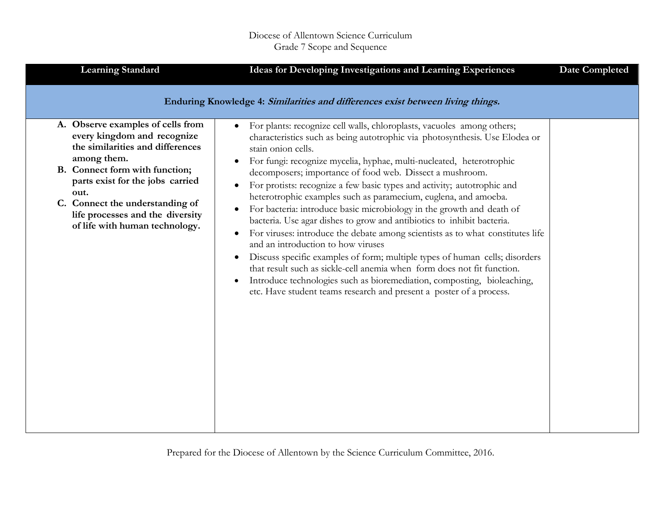| <b>Learning Standard</b>                                                                                                                                                                                                                                                 | <b>Ideas for Developing Investigations and Learning Experiences</b>                                                                                                                                                                                                                                                                                                                                                                                                                                                                                                                                                                                                                                                           | <b>Date Completed</b> |
|--------------------------------------------------------------------------------------------------------------------------------------------------------------------------------------------------------------------------------------------------------------------------|-------------------------------------------------------------------------------------------------------------------------------------------------------------------------------------------------------------------------------------------------------------------------------------------------------------------------------------------------------------------------------------------------------------------------------------------------------------------------------------------------------------------------------------------------------------------------------------------------------------------------------------------------------------------------------------------------------------------------------|-----------------------|
| A. Observe examples of cells from<br>every kingdom and recognize<br>the similarities and differences<br>among them.<br>B. Connect form with function;<br>parts exist for the jobs carried<br>out.<br>C. Connect the understanding of<br>life processes and the diversity | Enduring Knowledge 4: Similarities and differences exist between living things.<br>For plants: recognize cell walls, chloroplasts, vacuoles among others;<br>$\bullet$<br>characteristics such as being autotrophic via photosynthesis. Use Elodea or<br>stain onion cells.<br>For fungi: recognize mycelia, hyphae, multi-nucleated, heterotrophic<br>decomposers; importance of food web. Dissect a mushroom.<br>For protists: recognize a few basic types and activity; autotrophic and<br>heterotrophic examples such as paramecium, euglena, and amoeba.<br>For bacteria: introduce basic microbiology in the growth and death of<br>$\bullet$<br>bacteria. Use agar dishes to grow and antibiotics to inhibit bacteria. |                       |
| of life with human technology.                                                                                                                                                                                                                                           | For viruses: introduce the debate among scientists as to what constitutes life<br>$\bullet$<br>and an introduction to how viruses<br>Discuss specific examples of form; multiple types of human cells; disorders<br>that result such as sickle-cell anemia when form does not fit function.<br>Introduce technologies such as bioremediation, composting, bioleaching,<br>$\bullet$<br>etc. Have student teams research and present a poster of a process.                                                                                                                                                                                                                                                                    |                       |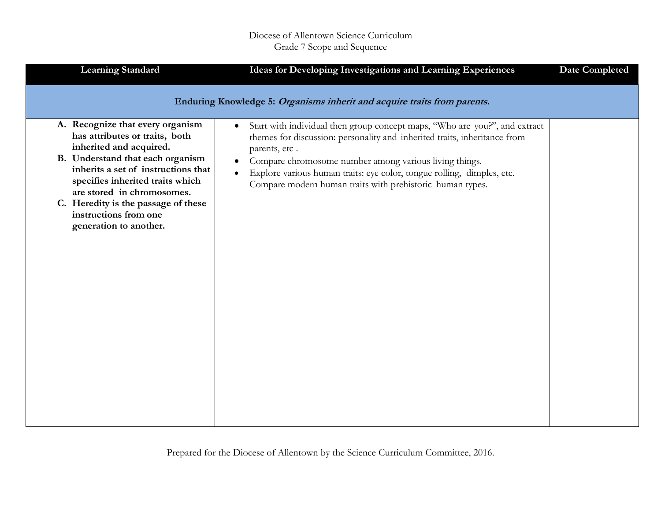| <b>Learning Standard</b>                                                                                                                                                                                                                                                                                                             | Ideas for Developing Investigations and Learning Experiences                                                                                                                                                                                                                                                                                                                                        | <b>Date Completed</b> |
|--------------------------------------------------------------------------------------------------------------------------------------------------------------------------------------------------------------------------------------------------------------------------------------------------------------------------------------|-----------------------------------------------------------------------------------------------------------------------------------------------------------------------------------------------------------------------------------------------------------------------------------------------------------------------------------------------------------------------------------------------------|-----------------------|
|                                                                                                                                                                                                                                                                                                                                      | Enduring Knowledge 5: Organisms inherit and acquire traits from parents.                                                                                                                                                                                                                                                                                                                            |                       |
| A. Recognize that every organism<br>has attributes or traits, both<br>inherited and acquired.<br>B. Understand that each organism<br>inherits a set of instructions that<br>specifies inherited traits which<br>are stored in chromosomes.<br>C. Heredity is the passage of these<br>instructions from one<br>generation to another. | Start with individual then group concept maps, "Who are you?", and extract<br>$\bullet$<br>themes for discussion: personality and inherited traits, inheritance from<br>parents, etc.<br>Compare chromosome number among various living things.<br>$\bullet$<br>Explore various human traits: eye color, tongue rolling, dimples, etc.<br>Compare modern human traits with prehistoric human types. |                       |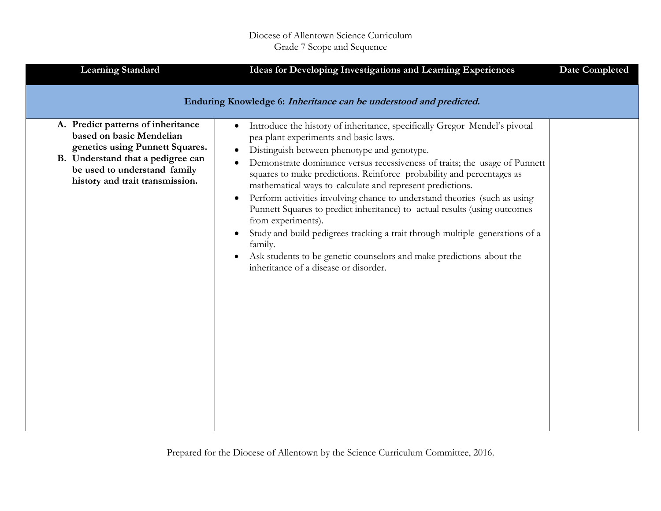| <b>Learning Standard</b>                                                                                                                                                                                  | Ideas for Developing Investigations and Learning Experiences                                                                                                                                                                                                                                                                                                                                                                                                                                                                                                                                                                                                                                                                                                                                                              | <b>Date Completed</b> |
|-----------------------------------------------------------------------------------------------------------------------------------------------------------------------------------------------------------|---------------------------------------------------------------------------------------------------------------------------------------------------------------------------------------------------------------------------------------------------------------------------------------------------------------------------------------------------------------------------------------------------------------------------------------------------------------------------------------------------------------------------------------------------------------------------------------------------------------------------------------------------------------------------------------------------------------------------------------------------------------------------------------------------------------------------|-----------------------|
|                                                                                                                                                                                                           | Enduring Knowledge 6: Inheritance can be understood and predicted.                                                                                                                                                                                                                                                                                                                                                                                                                                                                                                                                                                                                                                                                                                                                                        |                       |
| A. Predict patterns of inheritance<br>based on basic Mendelian<br>genetics using Punnett Squares.<br>B. Understand that a pedigree can<br>be used to understand family<br>history and trait transmission. | Introduce the history of inheritance, specifically Gregor Mendel's pivotal<br>$\bullet$<br>pea plant experiments and basic laws.<br>Distinguish between phenotype and genotype.<br>$\bullet$<br>Demonstrate dominance versus recessiveness of traits; the usage of Punnett<br>squares to make predictions. Reinforce probability and percentages as<br>mathematical ways to calculate and represent predictions.<br>Perform activities involving chance to understand theories (such as using<br>$\bullet$<br>Punnett Squares to predict inheritance) to actual results (using outcomes<br>from experiments).<br>Study and build pedigrees tracking a trait through multiple generations of a<br>family.<br>Ask students to be genetic counselors and make predictions about the<br>inheritance of a disease or disorder. |                       |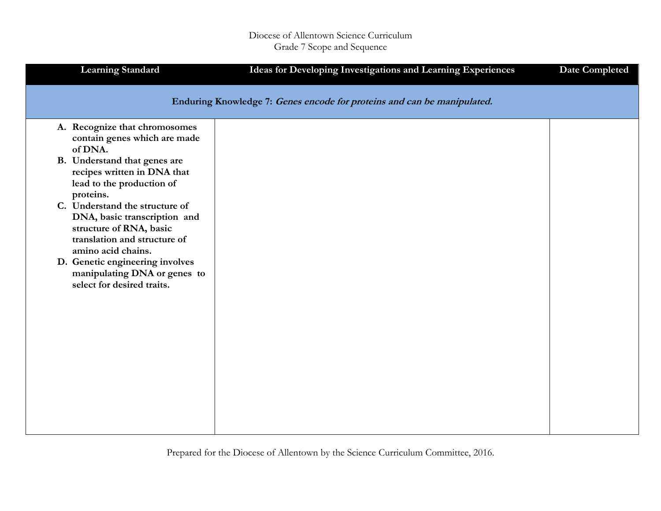| <b>Learning Standard</b>                                                                                                                                                                                                                                                                                                             | Ideas for Developing Investigations and Learning Experiences            | <b>Date Completed</b> |
|--------------------------------------------------------------------------------------------------------------------------------------------------------------------------------------------------------------------------------------------------------------------------------------------------------------------------------------|-------------------------------------------------------------------------|-----------------------|
|                                                                                                                                                                                                                                                                                                                                      | Enduring Knowledge 7: Genes encode for proteins and can be manipulated. |                       |
| A. Recognize that chromosomes<br>contain genes which are made<br>of DNA.<br>B. Understand that genes are<br>recipes written in DNA that<br>lead to the production of<br>proteins.<br>C. Understand the structure of<br>DNA, basic transcription and<br>structure of RNA, basic<br>translation and structure of<br>amino acid chains. |                                                                         |                       |
| D. Genetic engineering involves<br>manipulating DNA or genes to<br>select for desired traits.                                                                                                                                                                                                                                        |                                                                         |                       |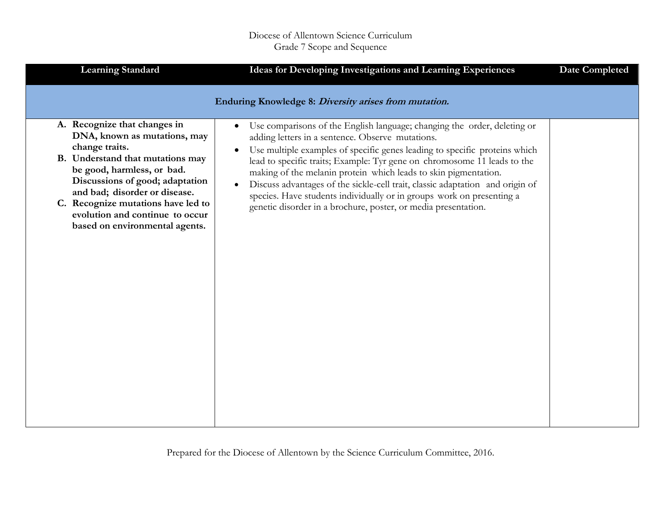| <b>Learning Standard</b>                                                                                                                                                                                                                                                                                                        | Ideas for Developing Investigations and Learning Experiences                                                                                                                                                                                                                                                                                                                                                                                                                                                                                                                                                    | <b>Date Completed</b> |
|---------------------------------------------------------------------------------------------------------------------------------------------------------------------------------------------------------------------------------------------------------------------------------------------------------------------------------|-----------------------------------------------------------------------------------------------------------------------------------------------------------------------------------------------------------------------------------------------------------------------------------------------------------------------------------------------------------------------------------------------------------------------------------------------------------------------------------------------------------------------------------------------------------------------------------------------------------------|-----------------------|
|                                                                                                                                                                                                                                                                                                                                 | Enduring Knowledge 8: Diversity arises from mutation.                                                                                                                                                                                                                                                                                                                                                                                                                                                                                                                                                           |                       |
| A. Recognize that changes in<br>DNA, known as mutations, may<br>change traits.<br>B. Understand that mutations may<br>be good, harmless, or bad.<br>Discussions of good; adaptation<br>and bad; disorder or disease.<br>C. Recognize mutations have led to<br>evolution and continue to occur<br>based on environmental agents. | Use comparisons of the English language; changing the order, deleting or<br>$\bullet$<br>adding letters in a sentence. Observe mutations.<br>Use multiple examples of specific genes leading to specific proteins which<br>$\bullet$<br>lead to specific traits; Example: Tyr gene on chromosome 11 leads to the<br>making of the melanin protein which leads to skin pigmentation.<br>Discuss advantages of the sickle-cell trait, classic adaptation and origin of<br>species. Have students individually or in groups work on presenting a<br>genetic disorder in a brochure, poster, or media presentation. |                       |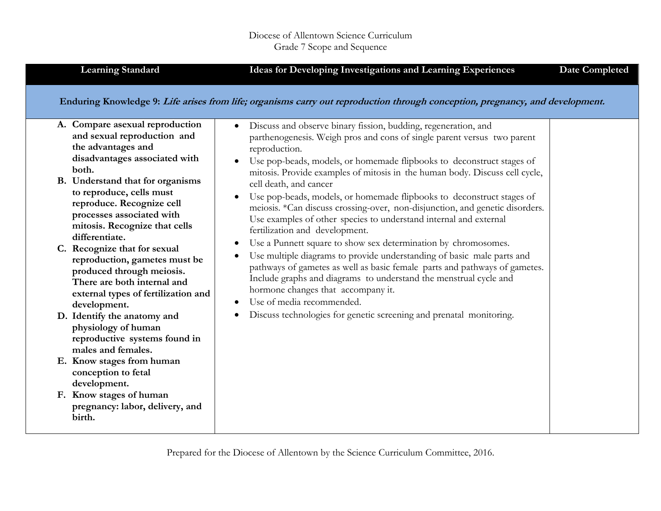| <b>Learning Standard</b>                                                                                                                                                                                                                                                                                                                                                                                                                                                                                                                                                                                                                                                                                                                                 | <b>Ideas for Developing Investigations and Learning Experiences</b>                                                                                                                                                                                                                                                                                                                                                                                                                                                                                                                                                                                                                                                                                                                                                                                                                                                                                                                                                                                                                                                                                                                                              | <b>Date Completed</b> |
|----------------------------------------------------------------------------------------------------------------------------------------------------------------------------------------------------------------------------------------------------------------------------------------------------------------------------------------------------------------------------------------------------------------------------------------------------------------------------------------------------------------------------------------------------------------------------------------------------------------------------------------------------------------------------------------------------------------------------------------------------------|------------------------------------------------------------------------------------------------------------------------------------------------------------------------------------------------------------------------------------------------------------------------------------------------------------------------------------------------------------------------------------------------------------------------------------------------------------------------------------------------------------------------------------------------------------------------------------------------------------------------------------------------------------------------------------------------------------------------------------------------------------------------------------------------------------------------------------------------------------------------------------------------------------------------------------------------------------------------------------------------------------------------------------------------------------------------------------------------------------------------------------------------------------------------------------------------------------------|-----------------------|
| A. Compare asexual reproduction<br>and sexual reproduction and<br>the advantages and<br>disadvantages associated with<br>both.<br>B. Understand that for organisms<br>to reproduce, cells must<br>reproduce. Recognize cell<br>processes associated with<br>mitosis. Recognize that cells<br>differentiate.<br>C. Recognize that for sexual<br>reproduction, gametes must be<br>produced through meiosis.<br>There are both internal and<br>external types of fertilization and<br>development.<br>D. Identify the anatomy and<br>physiology of human<br>reproductive systems found in<br>males and females.<br>E. Know stages from human<br>conception to fetal<br>development.<br>F. Know stages of human<br>pregnancy: labor, delivery, and<br>birth. | Enduring Knowledge 9: Life arises from life; organisms carry out reproduction through conception, pregnancy, and development.<br>Discuss and observe binary fission, budding, regeneration, and<br>$\bullet$<br>parthenogenesis. Weigh pros and cons of single parent versus two parent<br>reproduction.<br>Use pop-beads, models, or homemade flipbooks to deconstruct stages of<br>$\bullet$<br>mitosis. Provide examples of mitosis in the human body. Discuss cell cycle,<br>cell death, and cancer<br>Use pop-beads, models, or homemade flipbooks to deconstruct stages of<br>meiosis. *Can discuss crossing-over, non-disjunction, and genetic disorders.<br>Use examples of other species to understand internal and external<br>fertilization and development.<br>Use a Punnett square to show sex determination by chromosomes.<br>Use multiple diagrams to provide understanding of basic male parts and<br>pathways of gametes as well as basic female parts and pathways of gametes.<br>Include graphs and diagrams to understand the menstrual cycle and<br>hormone changes that accompany it.<br>Use of media recommended.<br>Discuss technologies for genetic screening and prenatal monitoring. |                       |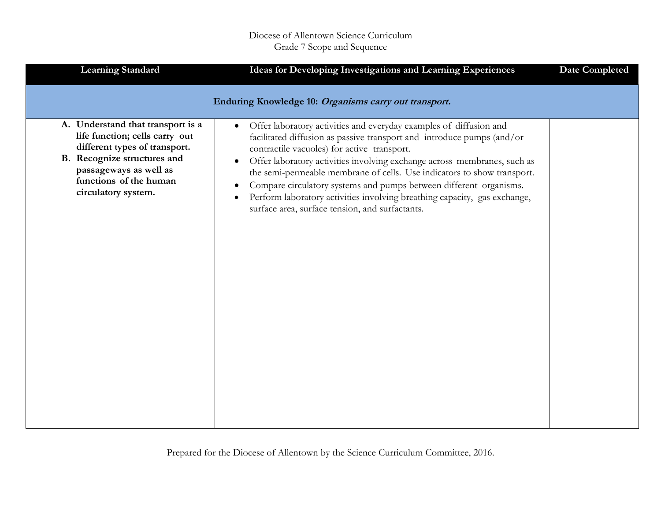| <b>Learning Standard</b>                                                                                                                                                                                       | Ideas for Developing Investigations and Learning Experiences                                                                                                                                                                                                                                                                                                                                                                                                                                                                                                                            | <b>Date Completed</b> |
|----------------------------------------------------------------------------------------------------------------------------------------------------------------------------------------------------------------|-----------------------------------------------------------------------------------------------------------------------------------------------------------------------------------------------------------------------------------------------------------------------------------------------------------------------------------------------------------------------------------------------------------------------------------------------------------------------------------------------------------------------------------------------------------------------------------------|-----------------------|
|                                                                                                                                                                                                                | Enduring Knowledge 10: Organisms carry out transport.                                                                                                                                                                                                                                                                                                                                                                                                                                                                                                                                   |                       |
| A. Understand that transport is a<br>life function; cells carry out<br>different types of transport.<br>B. Recognize structures and<br>passageways as well as<br>functions of the human<br>circulatory system. | Offer laboratory activities and everyday examples of diffusion and<br>$\bullet$<br>facilitated diffusion as passive transport and introduce pumps (and/or<br>contractile vacuoles) for active transport.<br>Offer laboratory activities involving exchange across membranes, such as<br>$\bullet$<br>the semi-permeable membrane of cells. Use indicators to show transport.<br>Compare circulatory systems and pumps between different organisms.<br>Perform laboratory activities involving breathing capacity, gas exchange,<br>٠<br>surface area, surface tension, and surfactants. |                       |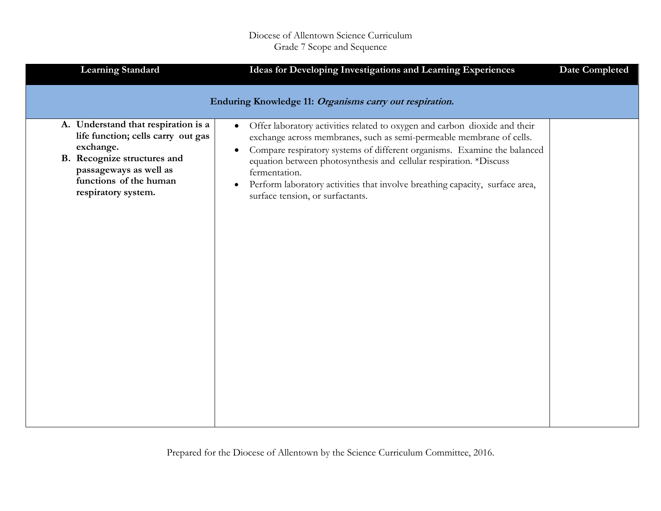| <b>Learning Standard</b>                                                                                                                                                                                | Ideas for Developing Investigations and Learning Experiences                                                                                                                                                                                                                                                                                                                                                                                                                     | <b>Date Completed</b> |
|---------------------------------------------------------------------------------------------------------------------------------------------------------------------------------------------------------|----------------------------------------------------------------------------------------------------------------------------------------------------------------------------------------------------------------------------------------------------------------------------------------------------------------------------------------------------------------------------------------------------------------------------------------------------------------------------------|-----------------------|
|                                                                                                                                                                                                         | Enduring Knowledge 11: Organisms carry out respiration.                                                                                                                                                                                                                                                                                                                                                                                                                          |                       |
| A. Understand that respiration is a<br>life function; cells carry out gas<br>exchange.<br><b>B.</b> Recognize structures and<br>passageways as well as<br>functions of the human<br>respiratory system. | Offer laboratory activities related to oxygen and carbon dioxide and their<br>$\bullet$<br>exchange across membranes, such as semi-permeable membrane of cells.<br>Compare respiratory systems of different organisms. Examine the balanced<br>$\bullet$<br>equation between photosynthesis and cellular respiration. *Discuss<br>fermentation.<br>Perform laboratory activities that involve breathing capacity, surface area,<br>$\bullet$<br>surface tension, or surfactants. |                       |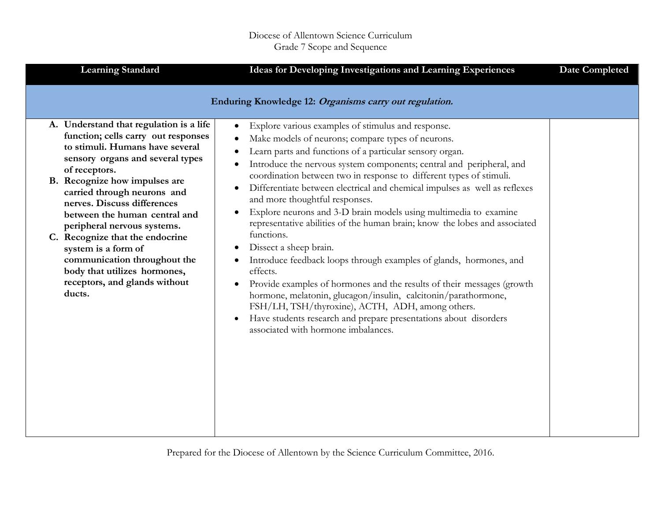| <b>Learning Standard</b>                                                                                                                                                                                                                                                                                                              | Ideas for Developing Investigations and Learning Experiences                                                                                                                                                                                                                                                                                                                                                                                                                                                                                                                                                                                                     | <b>Date Completed</b> |
|---------------------------------------------------------------------------------------------------------------------------------------------------------------------------------------------------------------------------------------------------------------------------------------------------------------------------------------|------------------------------------------------------------------------------------------------------------------------------------------------------------------------------------------------------------------------------------------------------------------------------------------------------------------------------------------------------------------------------------------------------------------------------------------------------------------------------------------------------------------------------------------------------------------------------------------------------------------------------------------------------------------|-----------------------|
| A. Understand that regulation is a life<br>function; cells carry out responses<br>to stimuli. Humans have several<br>sensory organs and several types<br>of receptors.<br>B. Recognize how impulses are<br>carried through neurons and<br>nerves. Discuss differences<br>between the human central and<br>peripheral nervous systems. | Enduring Knowledge 12: Organisms carry out regulation.<br>Explore various examples of stimulus and response.<br>Make models of neurons; compare types of neurons.<br>Learn parts and functions of a particular sensory organ.<br>Introduce the nervous system components; central and peripheral, and<br>٠<br>coordination between two in response to different types of stimuli.<br>Differentiate between electrical and chemical impulses as well as reflexes<br>$\bullet$<br>and more thoughtful responses.<br>Explore neurons and 3-D brain models using multimedia to examine<br>representative abilities of the human brain; know the lobes and associated |                       |
| C. Recognize that the endocrine<br>system is a form of<br>communication throughout the<br>body that utilizes hormones,<br>receptors, and glands without<br>ducts.                                                                                                                                                                     | functions.<br>Dissect a sheep brain.<br>Introduce feedback loops through examples of glands, hormones, and<br>effects.<br>Provide examples of hormones and the results of their messages (growth<br>hormone, melatonin, glucagon/insulin, calcitonin/parathormone,<br>FSH/LH, TSH/thyroxine), ACTH, ADH, among others.<br>Have students research and prepare presentations about disorders<br>associated with hormone imbalances.                                                                                                                                                                                                                                |                       |
|                                                                                                                                                                                                                                                                                                                                       |                                                                                                                                                                                                                                                                                                                                                                                                                                                                                                                                                                                                                                                                  |                       |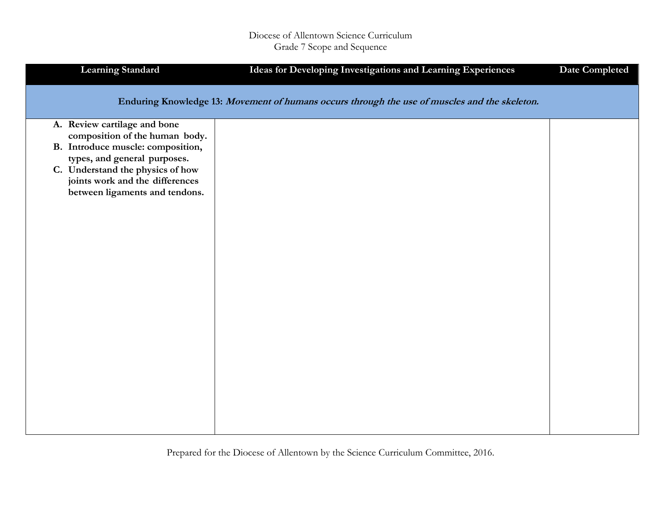| <b>Learning Standard</b>                                                                                                                                                                                                                     | Ideas for Developing Investigations and Learning Experiences                                  | <b>Date Completed</b> |
|----------------------------------------------------------------------------------------------------------------------------------------------------------------------------------------------------------------------------------------------|-----------------------------------------------------------------------------------------------|-----------------------|
|                                                                                                                                                                                                                                              | Enduring Knowledge 13: Movement of humans occurs through the use of muscles and the skeleton. |                       |
| A. Review cartilage and bone<br>composition of the human body.<br>B. Introduce muscle: composition,<br>types, and general purposes.<br>C. Understand the physics of how<br>joints work and the differences<br>between ligaments and tendons. |                                                                                               |                       |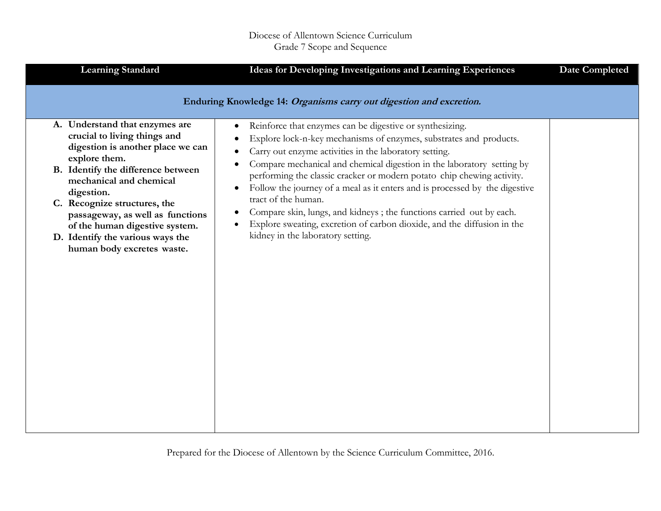| <b>Learning Standard</b>                                                                                                                                                                                                                                                                                                                                                    | Ideas for Developing Investigations and Learning Experiences                                                                                                                                                                                                                                                                                                                                                                                                                                                                                                                                                                                                                                                                                | <b>Date Completed</b> |
|-----------------------------------------------------------------------------------------------------------------------------------------------------------------------------------------------------------------------------------------------------------------------------------------------------------------------------------------------------------------------------|---------------------------------------------------------------------------------------------------------------------------------------------------------------------------------------------------------------------------------------------------------------------------------------------------------------------------------------------------------------------------------------------------------------------------------------------------------------------------------------------------------------------------------------------------------------------------------------------------------------------------------------------------------------------------------------------------------------------------------------------|-----------------------|
| A. Understand that enzymes are<br>crucial to living things and<br>digestion is another place we can<br>explore them.<br>B. Identify the difference between<br>mechanical and chemical<br>digestion.<br>C. Recognize structures, the<br>passageway, as well as functions<br>of the human digestive system.<br>D. Identify the various ways the<br>human body excretes waste. | Enduring Knowledge 14: Organisms carry out digestion and excretion.<br>Reinforce that enzymes can be digestive or synthesizing.<br>$\bullet$<br>Explore lock-n-key mechanisms of enzymes, substrates and products.<br>Carry out enzyme activities in the laboratory setting.<br>Compare mechanical and chemical digestion in the laboratory setting by<br>performing the classic cracker or modern potato chip chewing activity.<br>Follow the journey of a meal as it enters and is processed by the digestive<br>tract of the human.<br>Compare skin, lungs, and kidneys; the functions carried out by each.<br>Explore sweating, excretion of carbon dioxide, and the diffusion in the<br>$\bullet$<br>kidney in the laboratory setting. |                       |
|                                                                                                                                                                                                                                                                                                                                                                             |                                                                                                                                                                                                                                                                                                                                                                                                                                                                                                                                                                                                                                                                                                                                             |                       |